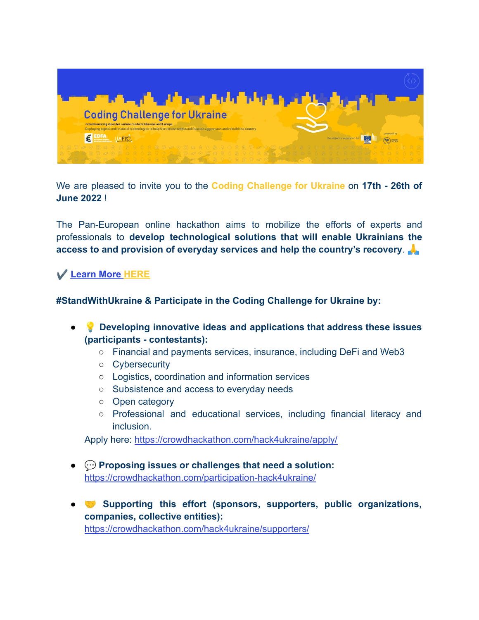

We are pleased to invite you to the **Coding [Challenge](https://crowdhackathon.com/hack4ukraine/) for Ukraine** on **17th - 26th of June 2022** !

The Pan-European online hackathon aims to mobilize the efforts of experts and professionals to **develop technological solutions that will enable Ukrainians the access to and provision of everyday services and help the country's recovery**.

## ✔️ **Learn More [HERE](https://crowdhackathon.com/hack4ukraine/)**

**#StandWithUkraine & Participate in the Coding Challenge for Ukraine by:**

- **Developing innovative ideas and applications that address these issues (participants - contestants):**
	- Financial and payments services, insurance, including DeFi and Web3
	- Cybersecurity
	- Logistics, coordination and information services
	- Subsistence and access to everyday needs
	- Open category
	- Professional and educational services, including financial literacy and inclusion.

Apply here: <https://crowdhackathon.com/hack4ukraine/apply/>

- **Proposing issues or challenges that need a solution:** <https://crowdhackathon.com/participation-hack4ukraine/>
- **Supporting this effort (sponsors, supporters, public organizations, companies, collective entities):** <https://crowdhackathon.com/hack4ukraine/supporters/>